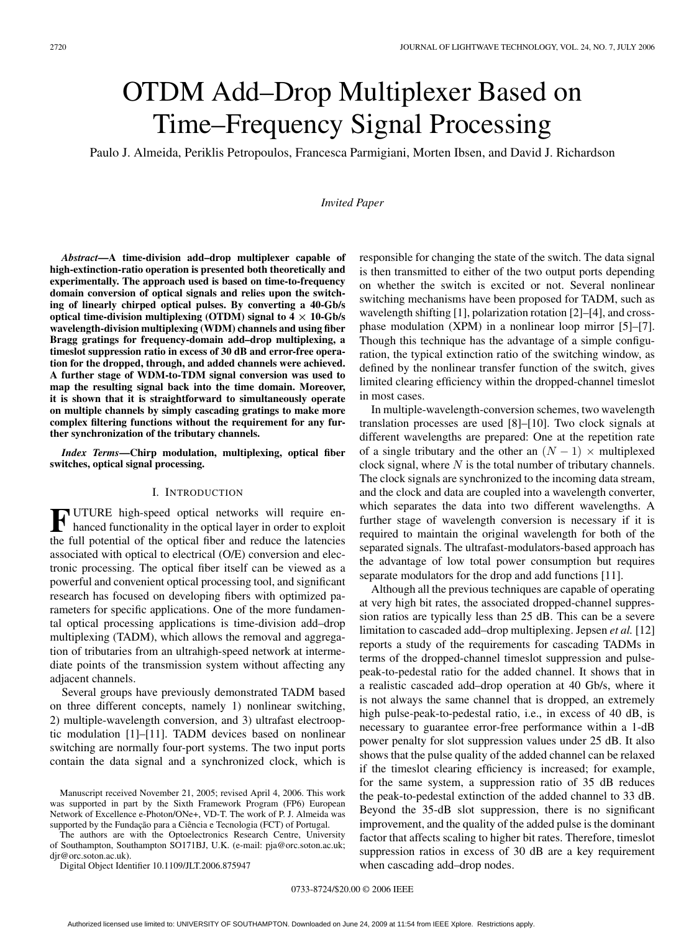# OTDM Add–Drop Multiplexer Based on Time–Frequency Signal Processing

Paulo J. Almeida, Periklis Petropoulos, Francesca Parmigiani, Morten Ibsen, and David J. Richardson

*Invited Paper*

*Abstract***—A time-division add–drop multiplexer capable of high-extinction-ratio operation is presented both theoretically and experimentally. The approach used is based on time-to-frequency domain conversion of optical signals and relies upon the switching of linearly chirped optical pulses. By converting a 40-Gb/s optical time-division multiplexing (OTDM) signal to**  $4 \times 10$ **-Gb/s wavelength-division multiplexing (WDM) channels and using fiber Bragg gratings for frequency-domain add–drop multiplexing, a timeslot suppression ratio in excess of 30 dB and error-free operation for the dropped, through, and added channels were achieved. A further stage of WDM-to-TDM signal conversion was used to map the resulting signal back into the time domain. Moreover, it is shown that it is straightforward to simultaneously operate on multiple channels by simply cascading gratings to make more complex filtering functions without the requirement for any further synchronization of the tributary channels.**

*Index Terms***—Chirp modulation, multiplexing, optical fiber switches, optical signal processing.**

# I. INTRODUCTION

**F** UTURE high-speed optical networks will require en-<br>hanced functionality in the optical layer in order to exploit the full potential of the optical fiber and reduce the latencies associated with optical to electrical (O/E) conversion and electronic processing. The optical fiber itself can be viewed as a powerful and convenient optical processing tool, and significant research has focused on developing fibers with optimized parameters for specific applications. One of the more fundamental optical processing applications is time-division add–drop multiplexing (TADM), which allows the removal and aggregation of tributaries from an ultrahigh-speed network at intermediate points of the transmission system without affecting any adjacent channels.

Several groups have previously demonstrated TADM based on three different concepts, namely 1) nonlinear switching, 2) multiple-wavelength conversion, and 3) ultrafast electrooptic modulation [1]–[11]. TADM devices based on nonlinear switching are normally four-port systems. The two input ports contain the data signal and a synchronized clock, which is

The authors are with the Optoelectronics Research Centre, University of Southampton, Southampton SO171BJ, U.K. (e-mail: pja@orc.soton.ac.uk; djr@orc.soton.ac.uk).

Digital Object Identifier 10.1109/JLT.2006.875947

responsible for changing the state of the switch. The data signal is then transmitted to either of the two output ports depending on whether the switch is excited or not. Several nonlinear switching mechanisms have been proposed for TADM, such as wavelength shifting [1], polarization rotation [2]–[4], and crossphase modulation (XPM) in a nonlinear loop mirror [5]–[7]. Though this technique has the advantage of a simple configuration, the typical extinction ratio of the switching window, as defined by the nonlinear transfer function of the switch, gives limited clearing efficiency within the dropped-channel timeslot in most cases.

In multiple-wavelength-conversion schemes, two wavelength translation processes are used [8]–[10]. Two clock signals at different wavelengths are prepared: One at the repetition rate of a single tributary and the other an  $(N - 1) \times$  multiplexed clock signal, where  $N$  is the total number of tributary channels. The clock signals are synchronized to the incoming data stream, and the clock and data are coupled into a wavelength converter, which separates the data into two different wavelengths. A further stage of wavelength conversion is necessary if it is required to maintain the original wavelength for both of the separated signals. The ultrafast-modulators-based approach has the advantage of low total power consumption but requires separate modulators for the drop and add functions [11].

Although all the previous techniques are capable of operating at very high bit rates, the associated dropped-channel suppression ratios are typically less than 25 dB. This can be a severe limitation to cascaded add–drop multiplexing. Jepsen *et al.* [12] reports a study of the requirements for cascading TADMs in terms of the dropped-channel timeslot suppression and pulsepeak-to-pedestal ratio for the added channel. It shows that in a realistic cascaded add–drop operation at 40 Gb/s, where it is not always the same channel that is dropped, an extremely high pulse-peak-to-pedestal ratio, i.e., in excess of 40 dB, is necessary to guarantee error-free performance within a 1-dB power penalty for slot suppression values under 25 dB. It also shows that the pulse quality of the added channel can be relaxed if the timeslot clearing efficiency is increased; for example, for the same system, a suppression ratio of 35 dB reduces the peak-to-pedestal extinction of the added channel to 33 dB. Beyond the 35-dB slot suppression, there is no significant improvement, and the quality of the added pulse is the dominant factor that affects scaling to higher bit rates. Therefore, timeslot suppression ratios in excess of 30 dB are a key requirement when cascading add–drop nodes.

Manuscript received November 21, 2005; revised April 4, 2006. This work was supported in part by the Sixth Framework Program (FP6) European Network of Excellence e-Photon/ONe+, VD-T. The work of P. J. Almeida was supported by the Fundação para a Ciência e Tecnologia (FCT) of Portugal.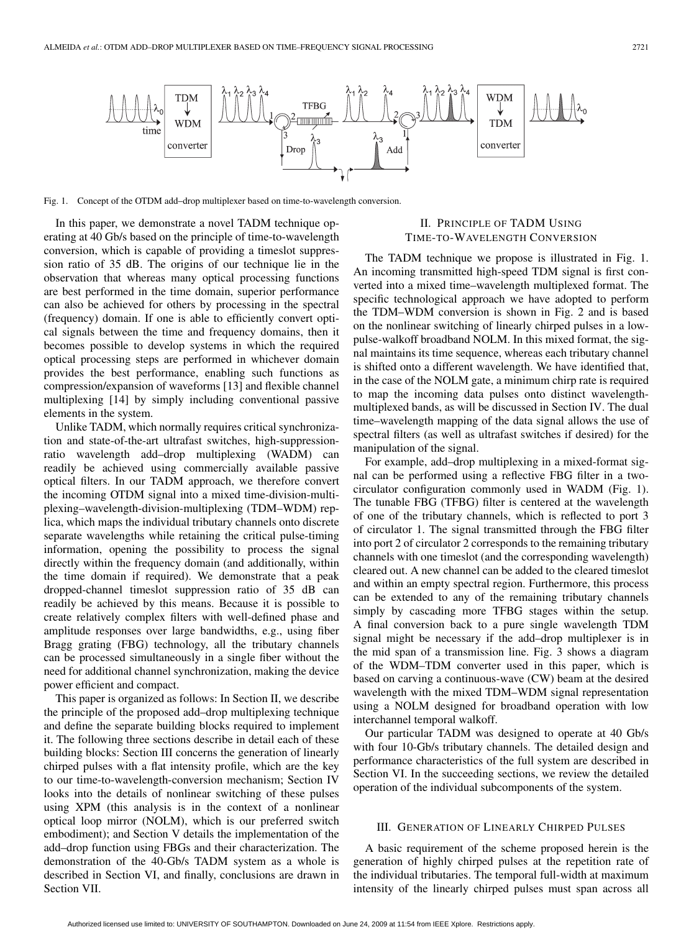

Fig. 1. Concept of the OTDM add–drop multiplexer based on time-to-wavelength conversion.

In this paper, we demonstrate a novel TADM technique operating at 40 Gb/s based on the principle of time-to-wavelength conversion, which is capable of providing a timeslot suppression ratio of 35 dB. The origins of our technique lie in the observation that whereas many optical processing functions are best performed in the time domain, superior performance can also be achieved for others by processing in the spectral (frequency) domain. If one is able to efficiently convert optical signals between the time and frequency domains, then it becomes possible to develop systems in which the required optical processing steps are performed in whichever domain provides the best performance, enabling such functions as compression/expansion of waveforms [13] and flexible channel multiplexing [14] by simply including conventional passive elements in the system.

Unlike TADM, which normally requires critical synchronization and state-of-the-art ultrafast switches, high-suppressionratio wavelength add–drop multiplexing (WADM) can readily be achieved using commercially available passive optical filters. In our TADM approach, we therefore convert the incoming OTDM signal into a mixed time-division-multiplexing–wavelength-division-multiplexing (TDM–WDM) replica, which maps the individual tributary channels onto discrete separate wavelengths while retaining the critical pulse-timing information, opening the possibility to process the signal directly within the frequency domain (and additionally, within the time domain if required). We demonstrate that a peak dropped-channel timeslot suppression ratio of 35 dB can readily be achieved by this means. Because it is possible to create relatively complex filters with well-defined phase and amplitude responses over large bandwidths, e.g., using fiber Bragg grating (FBG) technology, all the tributary channels can be processed simultaneously in a single fiber without the need for additional channel synchronization, making the device power efficient and compact.

This paper is organized as follows: In Section II, we describe the principle of the proposed add–drop multiplexing technique and define the separate building blocks required to implement it. The following three sections describe in detail each of these building blocks: Section III concerns the generation of linearly chirped pulses with a flat intensity profile, which are the key to our time-to-wavelength-conversion mechanism; Section IV looks into the details of nonlinear switching of these pulses using XPM (this analysis is in the context of a nonlinear optical loop mirror (NOLM), which is our preferred switch embodiment); and Section V details the implementation of the add–drop function using FBGs and their characterization. The demonstration of the 40-Gb/s TADM system as a whole is described in Section VI, and finally, conclusions are drawn in Section VII.

# II. PRINCIPLE OF TADM USING TIME-TO-WAVELENGTH CONVERSION

The TADM technique we propose is illustrated in Fig. 1. An incoming transmitted high-speed TDM signal is first converted into a mixed time–wavelength multiplexed format. The specific technological approach we have adopted to perform the TDM–WDM conversion is shown in Fig. 2 and is based on the nonlinear switching of linearly chirped pulses in a lowpulse-walkoff broadband NOLM. In this mixed format, the signal maintains its time sequence, whereas each tributary channel is shifted onto a different wavelength. We have identified that, in the case of the NOLM gate, a minimum chirp rate is required to map the incoming data pulses onto distinct wavelengthmultiplexed bands, as will be discussed in Section IV. The dual time–wavelength mapping of the data signal allows the use of spectral filters (as well as ultrafast switches if desired) for the manipulation of the signal.

For example, add–drop multiplexing in a mixed-format signal can be performed using a reflective FBG filter in a twocirculator configuration commonly used in WADM (Fig. 1). The tunable FBG (TFBG) filter is centered at the wavelength of one of the tributary channels, which is reflected to port 3 of circulator 1. The signal transmitted through the FBG filter into port 2 of circulator 2 corresponds to the remaining tributary channels with one timeslot (and the corresponding wavelength) cleared out. A new channel can be added to the cleared timeslot and within an empty spectral region. Furthermore, this process can be extended to any of the remaining tributary channels simply by cascading more TFBG stages within the setup. A final conversion back to a pure single wavelength TDM signal might be necessary if the add–drop multiplexer is in the mid span of a transmission line. Fig. 3 shows a diagram of the WDM–TDM converter used in this paper, which is based on carving a continuous-wave (CW) beam at the desired wavelength with the mixed TDM–WDM signal representation using a NOLM designed for broadband operation with low interchannel temporal walkoff.

Our particular TADM was designed to operate at 40 Gb/s with four 10-Gb/s tributary channels. The detailed design and performance characteristics of the full system are described in Section VI. In the succeeding sections, we review the detailed operation of the individual subcomponents of the system.

# III. GENERATION OF LINEARLY CHIRPED PULSES

A basic requirement of the scheme proposed herein is the generation of highly chirped pulses at the repetition rate of the individual tributaries. The temporal full-width at maximum intensity of the linearly chirped pulses must span across all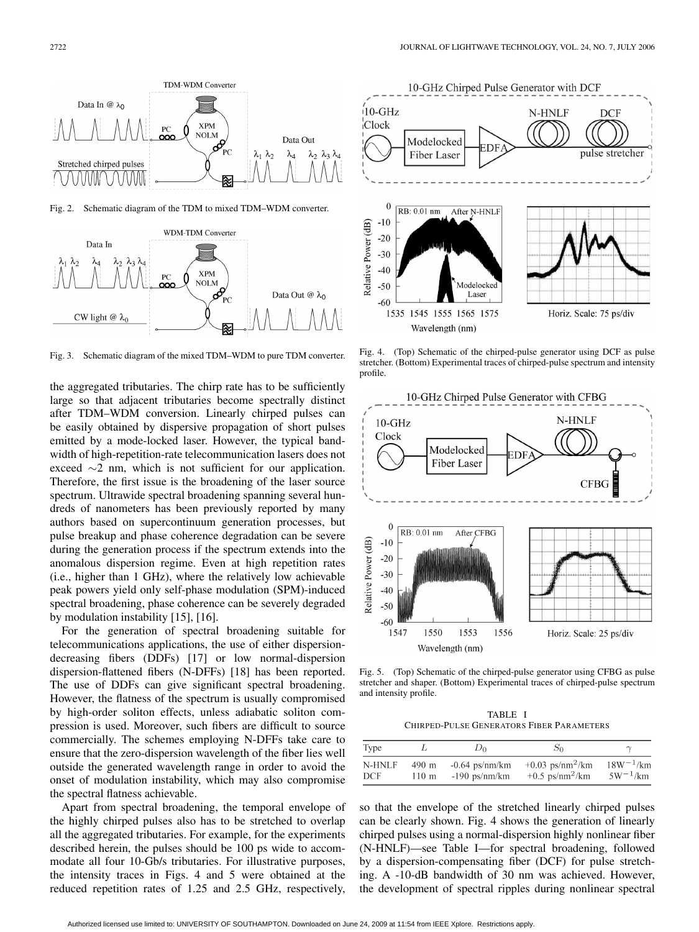

Fig. 2. Schematic diagram of the TDM to mixed TDM–WDM converter.



Fig. 3. Schematic diagram of the mixed TDM–WDM to pure TDM converter.

the aggregated tributaries. The chirp rate has to be sufficiently large so that adjacent tributaries become spectrally distinct after TDM–WDM conversion. Linearly chirped pulses can be easily obtained by dispersive propagation of short pulses emitted by a mode-locked laser. However, the typical bandwidth of high-repetition-rate telecommunication lasers does not exceed ∼2 nm, which is not sufficient for our application. Therefore, the first issue is the broadening of the laser source spectrum. Ultrawide spectral broadening spanning several hundreds of nanometers has been previously reported by many authors based on supercontinuum generation processes, but pulse breakup and phase coherence degradation can be severe during the generation process if the spectrum extends into the anomalous dispersion regime. Even at high repetition rates (i.e., higher than 1 GHz), where the relatively low achievable peak powers yield only self-phase modulation (SPM)-induced spectral broadening, phase coherence can be severely degraded by modulation instability [15], [16].

For the generation of spectral broadening suitable for telecommunications applications, the use of either dispersiondecreasing fibers (DDFs) [17] or low normal-dispersion dispersion-flattened fibers (N-DFFs) [18] has been reported. The use of DDFs can give significant spectral broadening. However, the flatness of the spectrum is usually compromised by high-order soliton effects, unless adiabatic soliton compression is used. Moreover, such fibers are difficult to source commercially. The schemes employing N-DFFs take care to ensure that the zero-dispersion wavelength of the fiber lies well outside the generated wavelength range in order to avoid the onset of modulation instability, which may also compromise the spectral flatness achievable.

Apart from spectral broadening, the temporal envelope of the highly chirped pulses also has to be stretched to overlap all the aggregated tributaries. For example, for the experiments described herein, the pulses should be 100 ps wide to accommodate all four 10-Gb/s tributaries. For illustrative purposes, the intensity traces in Figs. 4 and 5 were obtained at the reduced repetition rates of 1.25 and 2.5 GHz, respectively,



Fig. 4. (Top) Schematic of the chirped-pulse generator using DCF as pulse stretcher. (Bottom) Experimental traces of chirped-pulse spectrum and intensity profile.



Fig. 5. (Top) Schematic of the chirped-pulse generator using CFBG as pulse stretcher and shaper. (Bottom) Experimental traces of chirped-pulse spectrum and intensity profile.

TABLE I CHIRPED-PULSE GENERATORS FIBER PARAMETERS

| Type   |       | Dσ.              | 50                             |               |
|--------|-------|------------------|--------------------------------|---------------|
| N-HNLF | 490 m | $-0.64$ ps/nm/km | $+0.03$ ps/nm <sup>2</sup> /km | $18W^{-1}/km$ |
| DCF    | 110 m | $-190$ ps/nm/km  | $+0.5$ ps/nm <sup>2</sup> /km  | $5W^{-1}/km$  |

so that the envelope of the stretched linearly chirped pulses can be clearly shown. Fig. 4 shows the generation of linearly chirped pulses using a normal-dispersion highly nonlinear fiber (N-HNLF)—see Table I—for spectral broadening, followed by a dispersion-compensating fiber (DCF) for pulse stretching. A -10-dB bandwidth of 30 nm was achieved. However, the development of spectral ripples during nonlinear spectral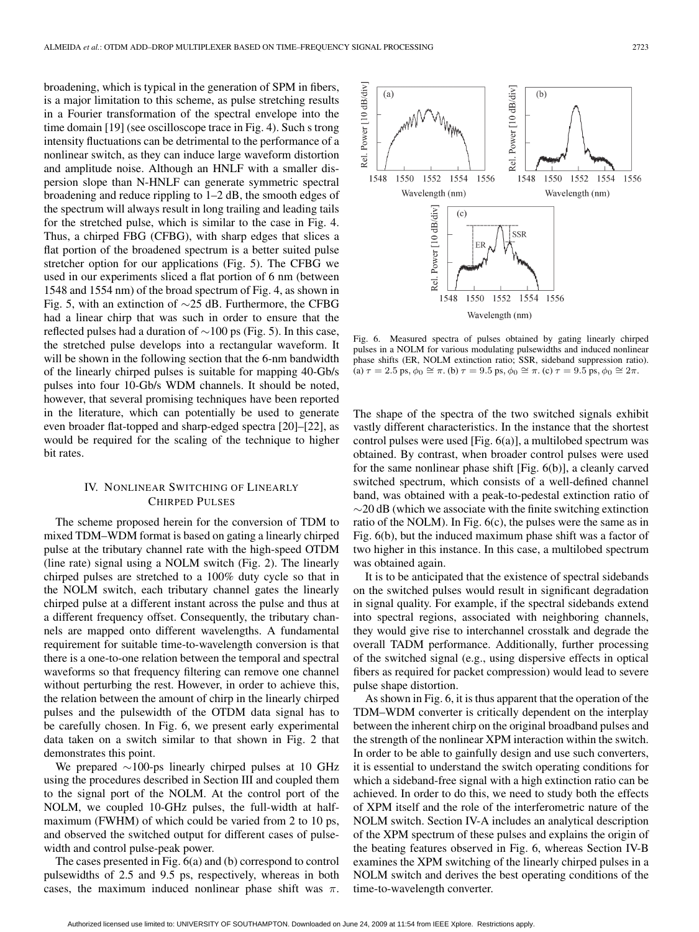broadening, which is typical in the generation of SPM in fibers, is a major limitation to this scheme, as pulse stretching results in a Fourier transformation of the spectral envelope into the time domain [19] (see oscilloscope trace in Fig. 4). Such s trong intensity fluctuations can be detrimental to the performance of a nonlinear switch, as they can induce large waveform distortion and amplitude noise. Although an HNLF with a smaller dispersion slope than N-HNLF can generate symmetric spectral broadening and reduce rippling to 1–2 dB, the smooth edges of the spectrum will always result in long trailing and leading tails for the stretched pulse, which is similar to the case in Fig. 4. Thus, a chirped FBG (CFBG), with sharp edges that slices a flat portion of the broadened spectrum is a better suited pulse stretcher option for our applications (Fig. 5). The CFBG we used in our experiments sliced a flat portion of 6 nm (between 1548 and 1554 nm) of the broad spectrum of Fig. 4, as shown in Fig. 5, with an extinction of ∼25 dB. Furthermore, the CFBG had a linear chirp that was such in order to ensure that the reflected pulses had a duration of ∼100 ps (Fig. 5). In this case, the stretched pulse develops into a rectangular waveform. It will be shown in the following section that the 6-nm bandwidth of the linearly chirped pulses is suitable for mapping 40-Gb/s pulses into four 10-Gb/s WDM channels. It should be noted, however, that several promising techniques have been reported in the literature, which can potentially be used to generate even broader flat-topped and sharp-edged spectra [20]–[22], as would be required for the scaling of the technique to higher bit rates.

# IV. NONLINEAR SWITCHING OF LINEARLY CHIRPED PULSES

The scheme proposed herein for the conversion of TDM to mixed TDM–WDM format is based on gating a linearly chirped pulse at the tributary channel rate with the high-speed OTDM (line rate) signal using a NOLM switch (Fig. 2). The linearly chirped pulses are stretched to a 100% duty cycle so that in the NOLM switch, each tributary channel gates the linearly chirped pulse at a different instant across the pulse and thus at a different frequency offset. Consequently, the tributary channels are mapped onto different wavelengths. A fundamental requirement for suitable time-to-wavelength conversion is that there is a one-to-one relation between the temporal and spectral waveforms so that frequency filtering can remove one channel without perturbing the rest. However, in order to achieve this, the relation between the amount of chirp in the linearly chirped pulses and the pulsewidth of the OTDM data signal has to be carefully chosen. In Fig. 6, we present early experimental data taken on a switch similar to that shown in Fig. 2 that demonstrates this point.

We prepared ∼100-ps linearly chirped pulses at 10 GHz using the procedures described in Section III and coupled them to the signal port of the NOLM. At the control port of the NOLM, we coupled 10-GHz pulses, the full-width at halfmaximum (FWHM) of which could be varied from 2 to 10 ps, and observed the switched output for different cases of pulsewidth and control pulse-peak power.

The cases presented in Fig. 6(a) and (b) correspond to control pulsewidths of 2.5 and 9.5 ps, respectively, whereas in both cases, the maximum induced nonlinear phase shift was  $\pi$ .



Fig. 6. Measured spectra of pulses obtained by gating linearly chirped pulses in a NOLM for various modulating pulsewidths and induced nonlinear phase shifts (ER, NOLM extinction ratio; SSR, sideband suppression ratio). (a)  $\tau = 2.5$  ps,  $\phi_0 \cong \pi$ . (b)  $\tau = 9.5$  ps,  $\phi_0 \cong \pi$ . (c)  $\tau = 9.5$  ps,  $\phi_0 \cong 2\pi$ .

The shape of the spectra of the two switched signals exhibit vastly different characteristics. In the instance that the shortest control pulses were used [Fig. 6(a)], a multilobed spectrum was obtained. By contrast, when broader control pulses were used for the same nonlinear phase shift [Fig. 6(b)], a cleanly carved switched spectrum, which consists of a well-defined channel band, was obtained with a peak-to-pedestal extinction ratio of  $\sim$ 20 dB (which we associate with the finite switching extinction ratio of the NOLM). In Fig. 6(c), the pulses were the same as in Fig. 6(b), but the induced maximum phase shift was a factor of two higher in this instance. In this case, a multilobed spectrum was obtained again.

It is to be anticipated that the existence of spectral sidebands on the switched pulses would result in significant degradation in signal quality. For example, if the spectral sidebands extend into spectral regions, associated with neighboring channels, they would give rise to interchannel crosstalk and degrade the overall TADM performance. Additionally, further processing of the switched signal (e.g., using dispersive effects in optical fibers as required for packet compression) would lead to severe pulse shape distortion.

As shown in Fig. 6, it is thus apparent that the operation of the TDM–WDM converter is critically dependent on the interplay between the inherent chirp on the original broadband pulses and the strength of the nonlinear XPM interaction within the switch. In order to be able to gainfully design and use such converters, it is essential to understand the switch operating conditions for which a sideband-free signal with a high extinction ratio can be achieved. In order to do this, we need to study both the effects of XPM itself and the role of the interferometric nature of the NOLM switch. Section IV-A includes an analytical description of the XPM spectrum of these pulses and explains the origin of the beating features observed in Fig. 6, whereas Section IV-B examines the XPM switching of the linearly chirped pulses in a NOLM switch and derives the best operating conditions of the time-to-wavelength converter.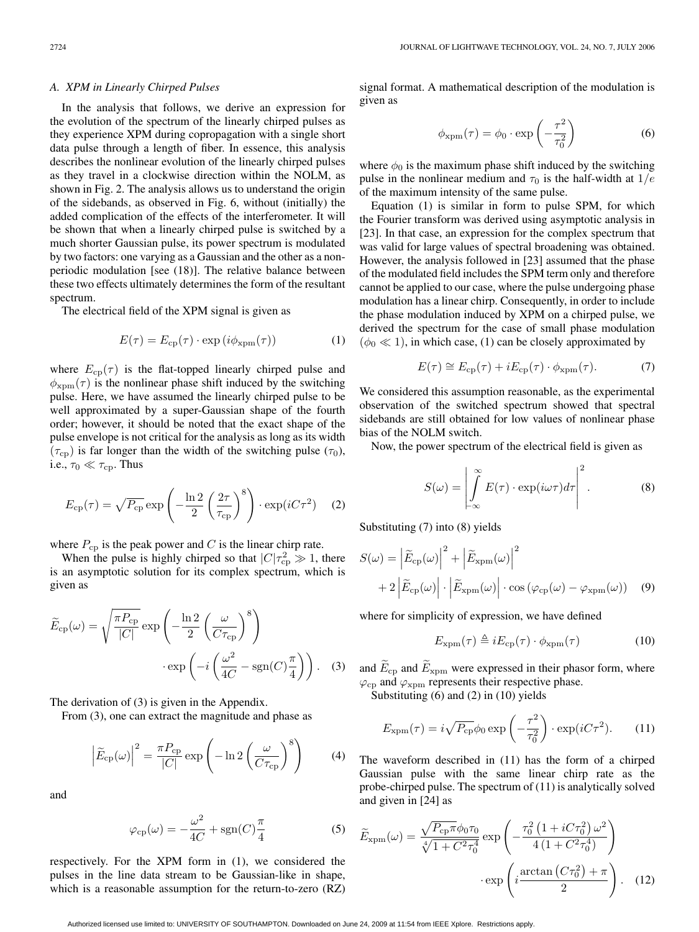## *A. XPM in Linearly Chirped Pulses*

In the analysis that follows, we derive an expression for the evolution of the spectrum of the linearly chirped pulses as they experience XPM during copropagation with a single short data pulse through a length of fiber. In essence, this analysis describes the nonlinear evolution of the linearly chirped pulses as they travel in a clockwise direction within the NOLM, as shown in Fig. 2. The analysis allows us to understand the origin of the sidebands, as observed in Fig. 6, without (initially) the added complication of the effects of the interferometer. It will be shown that when a linearly chirped pulse is switched by a much shorter Gaussian pulse, its power spectrum is modulated by two factors: one varying as a Gaussian and the other as a nonperiodic modulation [see (18)]. The relative balance between these two effects ultimately determines the form of the resultant spectrum.

The electrical field of the XPM signal is given as

$$
E(\tau) = E_{\rm cp}(\tau) \cdot \exp\left(i\phi_{\rm xpm}(\tau)\right) \tag{1}
$$

where  $E_{cp}(\tau)$  is the flat-topped linearly chirped pulse and  $\phi_{\text{xpm}}(\tau)$  is the nonlinear phase shift induced by the switching pulse. Here, we have assumed the linearly chirped pulse to be well approximated by a super-Gaussian shape of the fourth order; however, it should be noted that the exact shape of the pulse envelope is not critical for the analysis as long as its width  $(\tau_{cp})$  is far longer than the width of the switching pulse  $(\tau_0)$ , i.e.,  $\tau_0 \ll \tau_{cp}$ . Thus

$$
E_{\rm cp}(\tau) = \sqrt{P_{\rm cp}} \exp\left(-\frac{\ln 2}{2} \left(\frac{2\tau}{\tau_{\rm cp}}\right)^8\right) \cdot \exp(iC\tau^2) \tag{2}
$$

where  $P_{cp}$  is the peak power and C is the linear chirp rate.

When the pulse is highly chirped so that  $|C|\tau_{cp}^2 \gg 1$ , there is an asymptotic solution for its complex spectrum, which is given as

$$
\widetilde{E}_{cp}(\omega) = \sqrt{\frac{\pi P_{cp}}{|C|}} \exp\left(-\frac{\ln 2}{2} \left(\frac{\omega}{C\tau_{cp}}\right)^8\right) \cdot \exp\left(-i\left(\frac{\omega^2}{4C} - \text{sgn}(C)\frac{\pi}{4}\right)\right). \quad (3)
$$

The derivation of (3) is given in the Appendix.

From (3), one can extract the magnitude and phase as

$$
\left| \widetilde{E}_{\rm cp}(\omega) \right|^2 = \frac{\pi P_{\rm cp}}{|C|} \exp\left( -\ln 2 \left( \frac{\omega}{C \tau_{\rm cp}} \right)^8 \right) \tag{4}
$$

and

$$
\varphi_{\rm cp}(\omega) = -\frac{\omega^2}{4C} + \text{sgn}(C)\frac{\pi}{4}
$$
 (5)

respectively. For the XPM form in (1), we considered the pulses in the line data stream to be Gaussian-like in shape, which is a reasonable assumption for the return-to-zero (RZ)

signal format. A mathematical description of the modulation is given as

$$
\phi_{\rm xpm}(\tau) = \phi_0 \cdot \exp\left(-\frac{\tau^2}{\tau_0^2}\right) \tag{6}
$$

where  $\phi_0$  is the maximum phase shift induced by the switching pulse in the nonlinear medium and  $\tau_0$  is the half-width at  $1/e$ of the maximum intensity of the same pulse.

Equation (1) is similar in form to pulse SPM, for which the Fourier transform was derived using asymptotic analysis in [23]. In that case, an expression for the complex spectrum that was valid for large values of spectral broadening was obtained. However, the analysis followed in [23] assumed that the phase of the modulated field includes the SPM term only and therefore cannot be applied to our case, where the pulse undergoing phase modulation has a linear chirp. Consequently, in order to include the phase modulation induced by XPM on a chirped pulse, we derived the spectrum for the case of small phase modulation  $(\phi_0 \ll 1)$ , in which case, (1) can be closely approximated by

$$
E(\tau) \cong E_{\rm cp}(\tau) + iE_{\rm cp}(\tau) \cdot \phi_{\rm xpm}(\tau). \tag{7}
$$

We considered this assumption reasonable, as the experimental observation of the switched spectrum showed that spectral sidebands are still obtained for low values of nonlinear phase bias of the NOLM switch.

Now, the power spectrum of the electrical field is given as

$$
S(\omega) = \left| \int_{-\infty}^{\infty} E(\tau) \cdot \exp(i\omega \tau) d\tau \right|^2.
$$
 (8)

Substituting (7) into (8) yields

$$
S(\omega) = |\tilde{E}_{cp}(\omega)|^2 + |\tilde{E}_{xpm}(\omega)|^2
$$
  
+2|\tilde{E}\_{cp}(\omega)| \cdot |\tilde{E}\_{xpm}(\omega)| \cdot \cos (\varphi\_{cp}(\omega) - \varphi\_{xpm}(\omega)) (9)

where for simplicity of expression, we have defined

$$
E_{\rm xpm}(\tau) \triangleq iE_{\rm cp}(\tau) \cdot \phi_{\rm xpm}(\tau) \tag{10}
$$

and  $E_{\rm cp}$  and  $E_{\rm xpm}$  were expressed in their phasor form, where  $\varphi_{\rm cp}$  and  $\varphi_{\rm xpm}$  represents their respective phase.

Substituting (6) and (2) in (10) yields

$$
E_{\rm xpm}(\tau) = i\sqrt{P_{\rm cp}}\phi_0 \exp\left(-\frac{\tau^2}{\tau_0^2}\right) \cdot \exp(iC\tau^2). \tag{11}
$$

The waveform described in (11) has the form of a chirped Gaussian pulse with the same linear chirp rate as the probe-chirped pulse. The spectrum of (11) is analytically solved and given in [24] as

$$
\widetilde{E}_{\text{xpm}}(\omega) = \frac{\sqrt{P_{\text{cp}}\pi}\phi_0\tau_0}{\sqrt[4]{1 + C^2\tau_0^4}} \exp\left(-\frac{\tau_0^2\left(1 + iC\tau_0^2\right)\omega^2}{4\left(1 + C^2\tau_0^4\right)}\right) \cdot \exp\left(i\frac{\arctan\left(C\tau_0^2\right) + \pi}{2}\right). \quad (12)
$$

Authorized licensed use limited to: UNIVERSITY OF SOUTHAMPTON. Downloaded on June 24, 2009 at 11:54 from IEEE Xplore. Restrictions apply.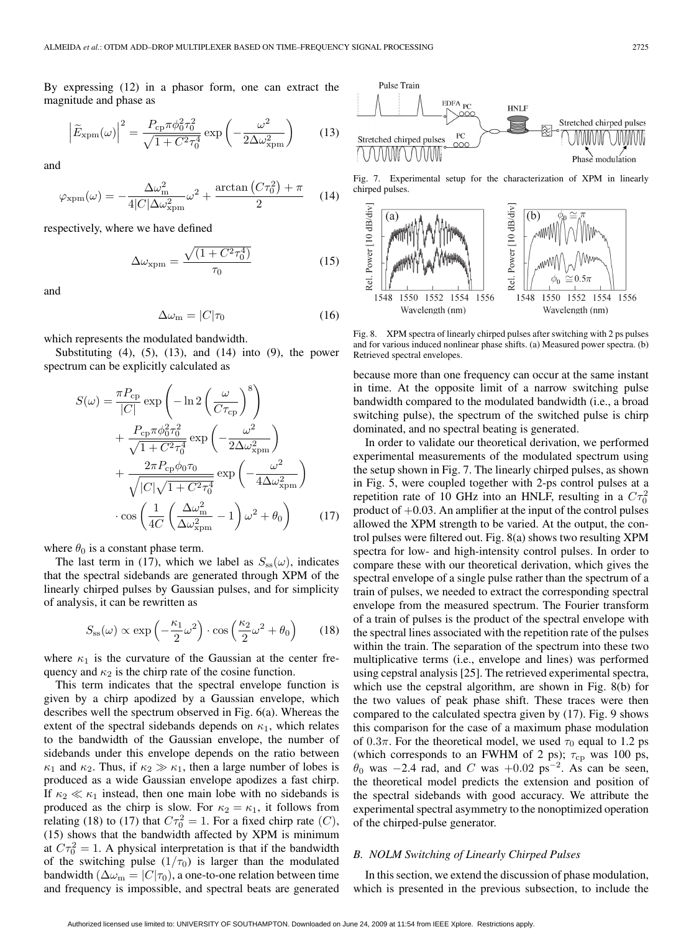By expressing (12) in a phasor form, one can extract the magnitude and phase as

$$
\left|\widetilde{E}_{\text{xpm}}(\omega)\right|^2 = \frac{P_{\text{cp}}\pi\phi_0^2\tau_0^2}{\sqrt{1 + C^2\tau_0^4}}\exp\left(-\frac{\omega^2}{2\Delta\omega_{\text{xpm}}^2}\right) \tag{13}
$$

and

$$
\varphi_{\text{xpm}}(\omega) = -\frac{\Delta\omega_{\text{m}}^2}{4|C|\Delta\omega_{\text{xpm}}^2}\omega^2 + \frac{\arctan\left(C\tau_0^2\right) + \pi}{2} \tag{14}
$$

respectively, where we have defined

$$
\Delta\omega_{\text{xpm}} = \frac{\sqrt{(1 + C^2 \tau_0^4)}}{\tau_0} \tag{15}
$$

and

$$
\Delta\omega_{\rm m} = |C|\tau_0 \tag{16}
$$

which represents the modulated bandwidth.

Substituting  $(4)$ ,  $(5)$ ,  $(13)$ , and  $(14)$  into  $(9)$ , the power spectrum can be explicitly calculated as

$$
S(\omega) = \frac{\pi P_{\rm cp}}{|C|} \exp\left(-\ln 2\left(\frac{\omega}{C\tau_{\rm cp}}\right)^8\right) + \frac{P_{\rm cp}\pi\phi_0^2\tau_0^2}{\sqrt{1 + C^2\tau_0^4}} \exp\left(-\frac{\omega^2}{2\Delta\omega_{\rm xpm}^2}\right) + \frac{2\pi P_{\rm cp}\phi_0\tau_0}{\sqrt{|C|\sqrt{1 + C^2\tau_0^4}}}\exp\left(-\frac{\omega^2}{4\Delta\omega_{\rm xpm}^2}\right) \cdot \cos\left(\frac{1}{4C}\left(\frac{\Delta\omega_{\rm m}^2}{\Delta\omega_{\rm xpm}^2} - 1\right)\omega^2 + \theta_0\right) \qquad (17)
$$

where  $\theta_0$  is a constant phase term.

The last term in (17), which we label as  $S_{ss}(\omega)$ , indicates that the spectral sidebands are generated through XPM of the linearly chirped pulses by Gaussian pulses, and for simplicity of analysis, it can be rewritten as

$$
S_{\rm ss}(\omega) \propto \exp\left(-\frac{\kappa_1}{2}\omega^2\right) \cdot \cos\left(\frac{\kappa_2}{2}\omega^2 + \theta_0\right) \tag{18}
$$

where  $\kappa_1$  is the curvature of the Gaussian at the center frequency and  $\kappa_2$  is the chirp rate of the cosine function.

This term indicates that the spectral envelope function is given by a chirp apodized by a Gaussian envelope, which describes well the spectrum observed in Fig. 6(a). Whereas the extent of the spectral sidebands depends on  $\kappa_1$ , which relates to the bandwidth of the Gaussian envelope, the number of sidebands under this envelope depends on the ratio between  $\kappa_1$  and  $\kappa_2$ . Thus, if  $\kappa_2 \gg \kappa_1$ , then a large number of lobes is produced as a wide Gaussian envelope apodizes a fast chirp. If  $\kappa_2 \ll \kappa_1$  instead, then one main lobe with no sidebands is produced as the chirp is slow. For  $\kappa_2 = \kappa_1$ , it follows from relating (18) to (17) that  $C\tau_0^2 = 1$ . For a fixed chirp rate (C), (15) shows that the bandwidth affected by XPM is minimum at  $C\tau_0^2 = 1$ . A physical interpretation is that if the bandwidth of the switching pulse  $(1/\tau_0)$  is larger than the modulated bandwidth ( $\Delta \omega_{\rm m} = |C|\tau_0$ ), a one-to-one relation between time and frequency is impossible, and spectral beats are generated



Fig. 7. Experimental setup for the characterization of XPM in linearly chirped pulses.



Fig. 8. XPM spectra of linearly chirped pulses after switching with 2 ps pulses and for various induced nonlinear phase shifts. (a) Measured power spectra. (b) Retrieved spectral envelopes.

because more than one frequency can occur at the same instant in time. At the opposite limit of a narrow switching pulse bandwidth compared to the modulated bandwidth (i.e., a broad switching pulse), the spectrum of the switched pulse is chirp dominated, and no spectral beating is generated.

In order to validate our theoretical derivation, we performed experimental measurements of the modulated spectrum using the setup shown in Fig. 7. The linearly chirped pulses, as shown in Fig. 5, were coupled together with 2-ps control pulses at a repetition rate of 10 GHz into an HNLF, resulting in a  $C\tau_0^2$ product of  $+0.03$ . An amplifier at the input of the control pulses allowed the XPM strength to be varied. At the output, the control pulses were filtered out. Fig. 8(a) shows two resulting XPM spectra for low- and high-intensity control pulses. In order to compare these with our theoretical derivation, which gives the spectral envelope of a single pulse rather than the spectrum of a train of pulses, we needed to extract the corresponding spectral envelope from the measured spectrum. The Fourier transform of a train of pulses is the product of the spectral envelope with the spectral lines associated with the repetition rate of the pulses within the train. The separation of the spectrum into these two multiplicative terms (i.e., envelope and lines) was performed using cepstral analysis [25]. The retrieved experimental spectra, which use the cepstral algorithm, are shown in Fig. 8(b) for the two values of peak phase shift. These traces were then compared to the calculated spectra given by (17). Fig. 9 shows this comparison for the case of a maximum phase modulation of 0.3 $\pi$ . For the theoretical model, we used  $\tau_0$  equal to 1.2 ps (which corresponds to an FWHM of 2 ps);  $\tau_{cp}$  was 100 ps,  $\theta_0$  was  $-2.4$  rad, and C was  $+0.02$  ps<sup>-2</sup>. As can be seen, the theoretical model predicts the extension and position of the spectral sidebands with good accuracy. We attribute the experimental spectral asymmetry to the nonoptimized operation of the chirped-pulse generator.

## *B. NOLM Switching of Linearly Chirped Pulses*

In this section, we extend the discussion of phase modulation, which is presented in the previous subsection, to include the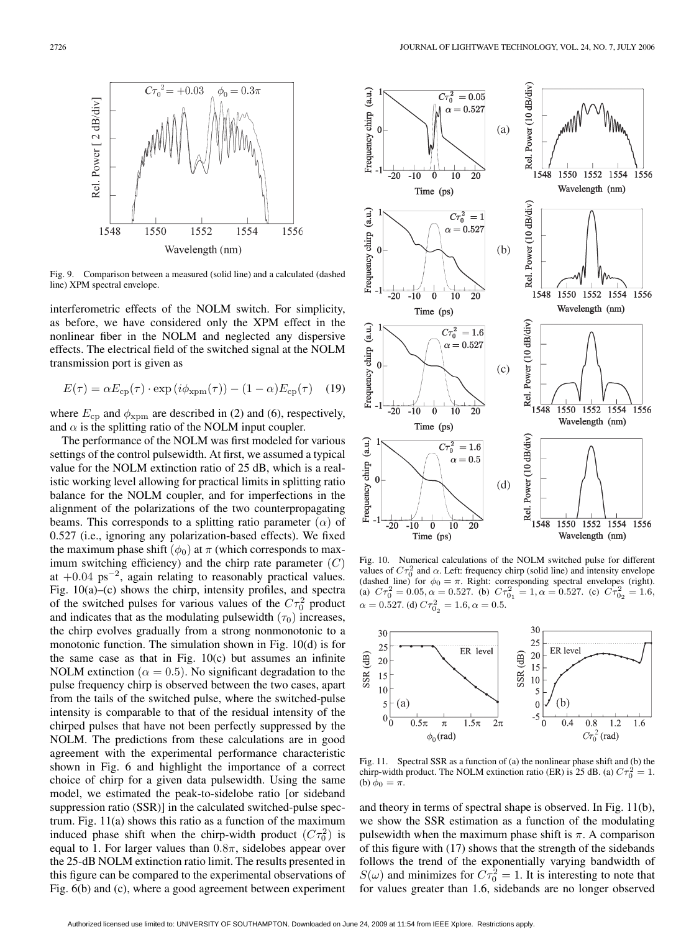

Fig. 9. Comparison between a measured (solid line) and a calculated (dashed line) XPM spectral envelope.

interferometric effects of the NOLM switch. For simplicity, as before, we have considered only the XPM effect in the nonlinear fiber in the NOLM and neglected any dispersive effects. The electrical field of the switched signal at the NOLM transmission port is given as

$$
E(\tau) = \alpha E_{\rm cp}(\tau) \cdot \exp(i\phi_{\rm xpm}(\tau)) - (1 - \alpha)E_{\rm cp}(\tau)
$$
 (19)

where  $E_{cp}$  and  $\phi_{xpm}$  are described in (2) and (6), respectively, and  $\alpha$  is the splitting ratio of the NOLM input coupler.

The performance of the NOLM was first modeled for various settings of the control pulsewidth. At first, we assumed a typical value for the NOLM extinction ratio of 25 dB, which is a realistic working level allowing for practical limits in splitting ratio balance for the NOLM coupler, and for imperfections in the alignment of the polarizations of the two counterpropagating beams. This corresponds to a splitting ratio parameter  $(\alpha)$  of 0.527 (i.e., ignoring any polarization-based effects). We fixed the maximum phase shift  $(\phi_0)$  at  $\pi$  (which corresponds to maximum switching efficiency) and the chirp rate parameter  $(C)$ at  $+0.04 \text{ ps}^{-2}$ , again relating to reasonably practical values. Fig. 10(a)–(c) shows the chirp, intensity profiles, and spectra of the switched pulses for various values of the  $C\tau_0^2$  product and indicates that as the modulating pulsewidth  $(\tau_0)$  increases, the chirp evolves gradually from a strong nonmonotonic to a monotonic function. The simulation shown in Fig. 10(d) is for the same case as that in Fig.  $10(c)$  but assumes an infinite NOLM extinction ( $\alpha = 0.5$ ). No significant degradation to the pulse frequency chirp is observed between the two cases, apart from the tails of the switched pulse, where the switched-pulse intensity is comparable to that of the residual intensity of the chirped pulses that have not been perfectly suppressed by the NOLM. The predictions from these calculations are in good agreement with the experimental performance characteristic shown in Fig. 6 and highlight the importance of a correct choice of chirp for a given data pulsewidth. Using the same model, we estimated the peak-to-sidelobe ratio [or sideband suppression ratio (SSR)] in the calculated switched-pulse spectrum. Fig. 11(a) shows this ratio as a function of the maximum induced phase shift when the chirp-width product  $(C\tau_0^2)$  is equal to 1. For larger values than  $0.8\pi$ , sidelobes appear over the 25-dB NOLM extinction ratio limit. The results presented in this figure can be compared to the experimental observations of Fig. 6(b) and (c), where a good agreement between experiment



Fig. 10. Numerical calculations of the NOLM switched pulse for different values of  $C\tau_0^2$  and  $\alpha$ . Left: frequency chirp (solid line) and intensity envelope (dashed line) for  $\phi_0 = \pi$ . Right: corresponding spectral envelopes (right).<br>(a)  $C\tau_0^2 = 0.05$ ,  $\alpha = 0.527$ . (b)  $C\tau_{01}^2 = 1$ ,  $\alpha = 0.527$ . (d)  $C\tau_{0_2}^2 = 1.6, \alpha = 0.5$ .



Fig. 11. Spectral SSR as a function of (a) the nonlinear phase shift and (b) the chirp-width product. The NOLM extinction ratio (ER) is 25 dB. (a)  $C\tau_0^2 = 1$ . (b)  $\phi_0 = \pi$ .

and theory in terms of spectral shape is observed. In Fig. 11(b), we show the SSR estimation as a function of the modulating pulsewidth when the maximum phase shift is  $\pi$ . A comparison of this figure with (17) shows that the strength of the sidebands follows the trend of the exponentially varying bandwidth of  $S(\omega)$  and minimizes for  $C\tau_0^2 = 1$ . It is interesting to note that for values greater than 1.6, sidebands are no longer observed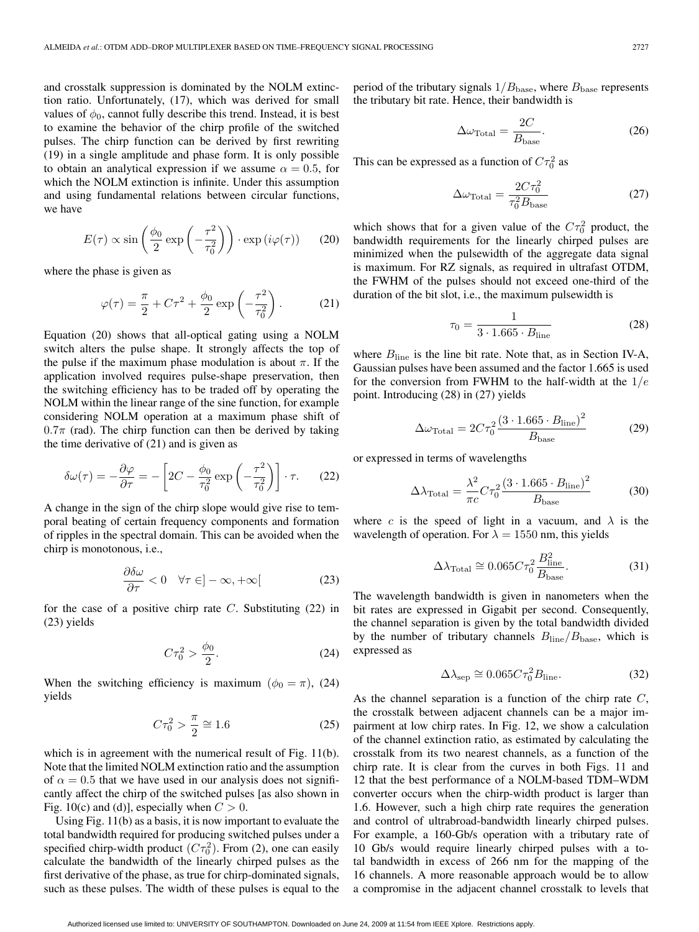and crosstalk suppression is dominated by the NOLM extinction ratio. Unfortunately, (17), which was derived for small values of  $\phi_0$ , cannot fully describe this trend. Instead, it is best to examine the behavior of the chirp profile of the switched pulses. The chirp function can be derived by first rewriting (19) in a single amplitude and phase form. It is only possible to obtain an analytical expression if we assume  $\alpha = 0.5$ , for which the NOLM extinction is infinite. Under this assumption and using fundamental relations between circular functions, we have

$$
E(\tau) \propto \sin\left(\frac{\phi_0}{2} \exp\left(-\frac{\tau^2}{\tau_0^2}\right)\right) \cdot \exp\left(i\varphi(\tau)\right) \tag{20}
$$

where the phase is given as

$$
\varphi(\tau) = \frac{\pi}{2} + C\tau^2 + \frac{\phi_0}{2} \exp\left(-\frac{\tau^2}{\tau_0^2}\right).
$$
 (21)

Equation (20) shows that all-optical gating using a NOLM switch alters the pulse shape. It strongly affects the top of the pulse if the maximum phase modulation is about  $\pi$ . If the application involved requires pulse-shape preservation, then the switching efficiency has to be traded off by operating the NOLM within the linear range of the sine function, for example considering NOLM operation at a maximum phase shift of  $0.7\pi$  (rad). The chirp function can then be derived by taking the time derivative of  $(21)$  and is given as

$$
\delta\omega(\tau) = -\frac{\partial\varphi}{\partial\tau} = -\left[2C - \frac{\phi_0}{\tau_0^2} \exp\left(-\frac{\tau^2}{\tau_0^2}\right)\right] \cdot \tau. \tag{22}
$$

A change in the sign of the chirp slope would give rise to temporal beating of certain frequency components and formation of ripples in the spectral domain. This can be avoided when the chirp is monotonous, i.e.,

$$
\frac{\partial \delta \omega}{\partial \tau} < 0 \quad \forall \tau \in ]-\infty, +\infty[ \tag{23}
$$

for the case of a positive chirp rate  $C$ . Substituting  $(22)$  in (23) yields

$$
C\tau_0^2 > \frac{\phi_0}{2}.
$$
 (24)

When the switching efficiency is maximum ( $\phi_0 = \pi$ ), (24) yields

$$
C\tau_0^2 > \frac{\pi}{2} \cong 1.6
$$
 (25)

which is in agreement with the numerical result of Fig. 11(b). Note that the limited NOLM extinction ratio and the assumption of  $\alpha = 0.5$  that we have used in our analysis does not significantly affect the chirp of the switched pulses [as also shown in Fig. 10(c) and (d)], especially when  $C > 0$ .

Using Fig. 11(b) as a basis, it is now important to evaluate the total bandwidth required for producing switched pulses under a specified chirp-width product  $(C\tau_0^2)$ . From (2), one can easily calculate the bandwidth of the linearly chirped pulses as the first derivative of the phase, as true for chirp-dominated signals, such as these pulses. The width of these pulses is equal to the

period of the tributary signals  $1/B_{\text{base}}$ , where  $B_{\text{base}}$  represents the tributary bit rate. Hence, their bandwidth is

$$
\Delta\omega_{\text{Total}} = \frac{2C}{B_{\text{base}}}.\tag{26}
$$

This can be expressed as a function of  $C\tau_0^2$  as

$$
\Delta\omega_{\text{Total}} = \frac{2C\tau_0^2}{\tau_0^2 B_{\text{base}}} \tag{27}
$$

which shows that for a given value of the  $C\tau_0^2$  product, the bandwidth requirements for the linearly chirped pulses are minimized when the pulsewidth of the aggregate data signal is maximum. For RZ signals, as required in ultrafast OTDM, the FWHM of the pulses should not exceed one-third of the duration of the bit slot, i.e., the maximum pulsewidth is

$$
\tau_0 = \frac{1}{3 \cdot 1.665 \cdot B_{\text{line}}}
$$
\n(28)

where  $B_{\text{line}}$  is the line bit rate. Note that, as in Section IV-A, Gaussian pulses have been assumed and the factor 1.665 is used for the conversion from FWHM to the half-width at the  $1/e$ point. Introducing (28) in (27) yields

$$
\Delta\omega_{\text{Total}} = 2C\tau_0^2 \frac{\left(3 \cdot 1.665 \cdot B_{\text{line}}\right)^2}{B_{\text{base}}}
$$
(29)

or expressed in terms of wavelengths

$$
\Delta\lambda_{\text{Total}} = \frac{\lambda^2}{\pi c} C \tau_0^2 \frac{\left(3 \cdot 1.665 \cdot B_{\text{line}}\right)^2}{B_{\text{base}}}
$$
(30)

where c is the speed of light in a vacuum, and  $\lambda$  is the wavelength of operation. For  $\lambda = 1550$  nm, this yields

$$
\Delta\lambda_{\text{Total}} \cong 0.065 C \tau_0^2 \frac{B_{\text{line}}^2}{B_{\text{base}}}.
$$
 (31)

The wavelength bandwidth is given in nanometers when the bit rates are expressed in Gigabit per second. Consequently, the channel separation is given by the total bandwidth divided by the number of tributary channels  $B_{\text{line}}/B_{\text{base}}$ , which is expressed as

$$
\Delta \lambda_{\rm sep} \cong 0.065 C \tau_0^2 B_{\rm line}.
$$
 (32)

As the channel separation is a function of the chirp rate  $C$ , the crosstalk between adjacent channels can be a major impairment at low chirp rates. In Fig. 12, we show a calculation of the channel extinction ratio, as estimated by calculating the crosstalk from its two nearest channels, as a function of the chirp rate. It is clear from the curves in both Figs. 11 and 12 that the best performance of a NOLM-based TDM–WDM converter occurs when the chirp-width product is larger than 1.6. However, such a high chirp rate requires the generation and control of ultrabroad-bandwidth linearly chirped pulses. For example, a 160-Gb/s operation with a tributary rate of 10 Gb/s would require linearly chirped pulses with a total bandwidth in excess of 266 nm for the mapping of the 16 channels. A more reasonable approach would be to allow a compromise in the adjacent channel crosstalk to levels that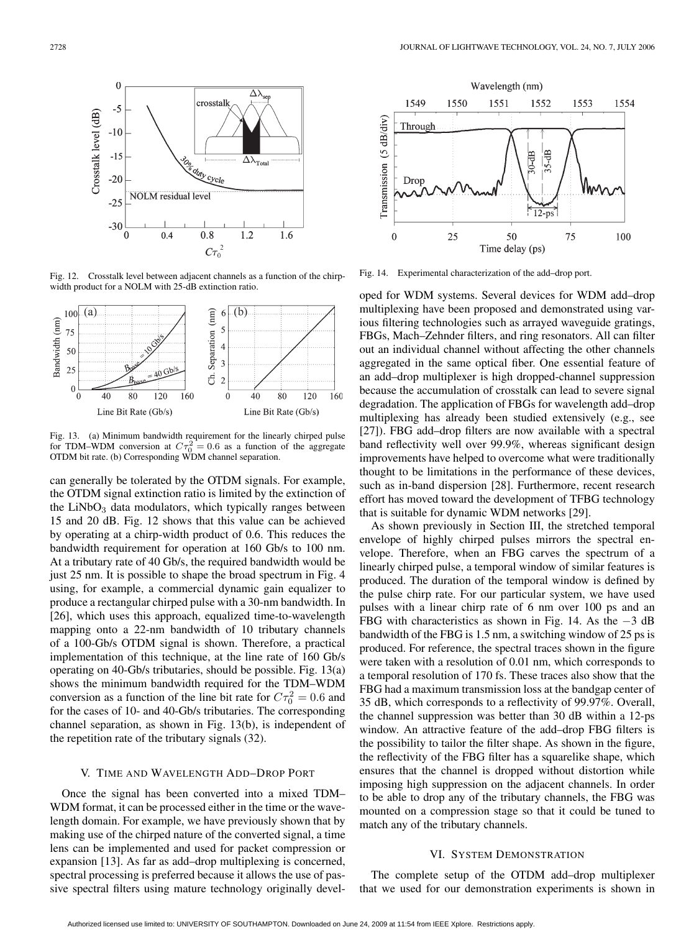

Fig. 12. Crosstalk level between adjacent channels as a function of the chirpwidth product for a NOLM with 25-dB extinction ratio.



Fig. 13. (a) Minimum bandwidth requirement for the linearly chirped pulse for TDM–WDM conversion at  $C\tau_0^2$  $= 0.6$  as a function of the aggregate OTDM bit rate. (b) Corresponding WDM channel separation.

can generally be tolerated by the OTDM signals. For example, the OTDM signal extinction ratio is limited by the extinction of the  $LiNbO<sub>3</sub>$  data modulators, which typically ranges between 15 and 20 dB. Fig. 12 shows that this value can be achieved by operating at a chirp-width product of 0.6. This reduces the bandwidth requirement for operation at 160 Gb/s to 100 nm. At a tributary rate of 40 Gb/s, the required bandwidth would be just 25 nm. It is possible to shape the broad spectrum in Fig. 4 using, for example, a commercial dynamic gain equalizer to produce a rectangular chirped pulse with a 30-nm bandwidth. In [26], which uses this approach, equalized time-to-wavelength mapping onto a 22-nm bandwidth of 10 tributary channels of a 100-Gb/s OTDM signal is shown. Therefore, a practical implementation of this technique, at the line rate of 160 Gb/s operating on 40-Gb/s tributaries, should be possible. Fig. 13(a) shows the minimum bandwidth required for the TDM–WDM conversion as a function of the line bit rate for  $C\tau_0^2 = 0.6$  and for the cases of 10- and 40-Gb/s tributaries. The corresponding channel separation, as shown in Fig. 13(b), is independent of the repetition rate of the tributary signals (32).

#### V. TIME AND WAVELENGTH ADD–DROP PORT

Once the signal has been converted into a mixed TDM– WDM format, it can be processed either in the time or the wavelength domain. For example, we have previously shown that by making use of the chirped nature of the converted signal, a time lens can be implemented and used for packet compression or expansion [13]. As far as add–drop multiplexing is concerned, spectral processing is preferred because it allows the use of passive spectral filters using mature technology originally devel-



Fig. 14. Experimental characterization of the add–drop port.

oped for WDM systems. Several devices for WDM add–drop multiplexing have been proposed and demonstrated using various filtering technologies such as arrayed waveguide gratings, FBGs, Mach–Zehnder filters, and ring resonators. All can filter out an individual channel without affecting the other channels aggregated in the same optical fiber. One essential feature of an add–drop multiplexer is high dropped-channel suppression because the accumulation of crosstalk can lead to severe signal degradation. The application of FBGs for wavelength add–drop multiplexing has already been studied extensively (e.g., see [27]). FBG add–drop filters are now available with a spectral band reflectivity well over 99.9%, whereas significant design improvements have helped to overcome what were traditionally thought to be limitations in the performance of these devices, such as in-band dispersion [28]. Furthermore, recent research effort has moved toward the development of TFBG technology that is suitable for dynamic WDM networks [29].

As shown previously in Section III, the stretched temporal envelope of highly chirped pulses mirrors the spectral envelope. Therefore, when an FBG carves the spectrum of a linearly chirped pulse, a temporal window of similar features is produced. The duration of the temporal window is defined by the pulse chirp rate. For our particular system, we have used pulses with a linear chirp rate of 6 nm over 100 ps and an FBG with characteristics as shown in Fig. 14. As the −3 dB bandwidth of the FBG is 1.5 nm, a switching window of 25 ps is produced. For reference, the spectral traces shown in the figure were taken with a resolution of 0.01 nm, which corresponds to a temporal resolution of 170 fs. These traces also show that the FBG had a maximum transmission loss at the bandgap center of 35 dB, which corresponds to a reflectivity of 99.97%. Overall, the channel suppression was better than 30 dB within a 12-ps window. An attractive feature of the add–drop FBG filters is the possibility to tailor the filter shape. As shown in the figure, the reflectivity of the FBG filter has a squarelike shape, which ensures that the channel is dropped without distortion while imposing high suppression on the adjacent channels. In order to be able to drop any of the tributary channels, the FBG was mounted on a compression stage so that it could be tuned to match any of the tributary channels.

## VI. SYSTEM DEMONSTRATION

The complete setup of the OTDM add–drop multiplexer that we used for our demonstration experiments is shown in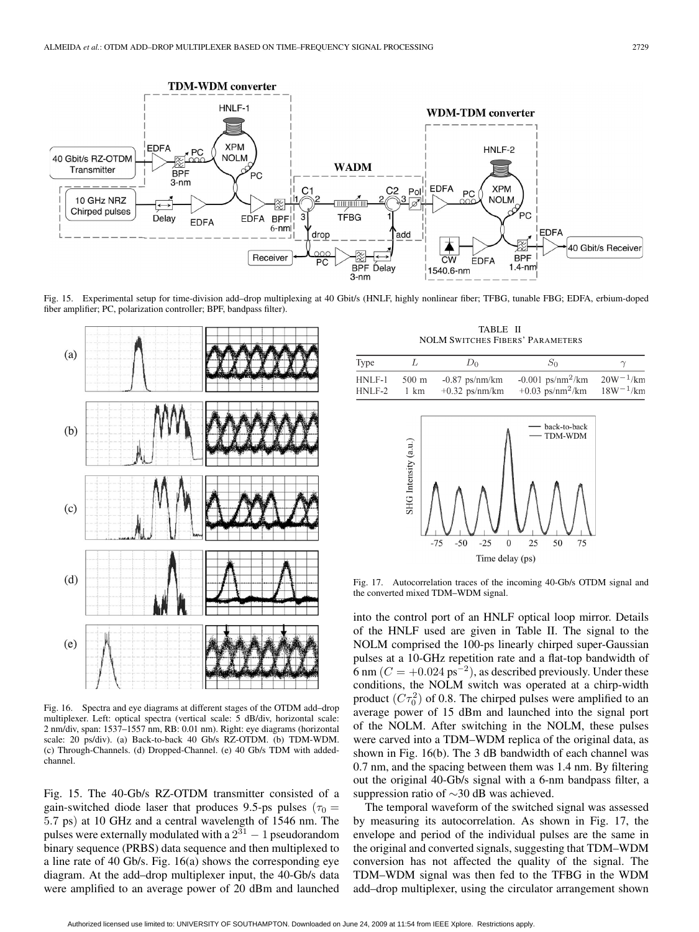

Fig. 15. Experimental setup for time-division add–drop multiplexing at 40 Gbit/s (HNLF, highly nonlinear fiber; TFBG, tunable FBG; EDFA, erbium-doped fiber amplifier; PC, polarization controller; BPF, bandpass filter).

h



Fig. 16. Spectra and eye diagrams at different stages of the OTDM add–drop multiplexer. Left: optical spectra (vertical scale: 5 dB/div, horizontal scale: 2 nm/div, span: 1537–1557 nm, RB: 0.01 nm). Right: eye diagrams (horizontal scale: 20 ps/div). (a) Back-to-back 40 Gb/s RZ-OTDM. (b) TDM-WDM. (c) Through-Channels. (d) Dropped-Channel. (e) 40 Gb/s TDM with addedchannel.

Fig. 15. The 40-Gb/s RZ-OTDM transmitter consisted of a gain-switched diode laser that produces 9.5-ps pulses ( $\tau_0$  = 5.7 ps) at 10 GHz and a central wavelength of 1546 nm. The pulses were externally modulated with a  $2^{31} - 1$  pseudorandom binary sequence (PRBS) data sequence and then multiplexed to a line rate of 40 Gb/s. Fig. 16(a) shows the corresponding eye diagram. At the add–drop multiplexer input, the 40-Gb/s data were amplified to an average power of 20 dBm and launched

TABLE II NOLM SWITCHES FIBERS' PARAMETERS

| <b>Type</b> |       | $D_0$            | Sο                                            |               |
|-------------|-------|------------------|-----------------------------------------------|---------------|
| INLF-1      | 500 m | $-0.87$ ps/nm/km | $-0.001$ ps/nm <sup>2</sup> /km $20W^{-1}/km$ | $18W^{-1}/km$ |
| INLF-2      | 1 km  | $+0.32$ ps/nm/km | $+0.03$ ps/nm <sup>2</sup> /km                |               |



Fig. 17. Autocorrelation traces of the incoming 40-Gb/s OTDM signal and the converted mixed TDM–WDM signal.

into the control port of an HNLF optical loop mirror. Details of the HNLF used are given in Table II. The signal to the NOLM comprised the 100-ps linearly chirped super-Gaussian pulses at a 10-GHz repetition rate and a flat-top bandwidth of 6 nm ( $C = +0.024 \text{ ps}^{-2}$ ), as described previously. Under these conditions, the NOLM switch was operated at a chirp-width product  $(C\tau_0^2)$  of 0.8. The chirped pulses were amplified to an average power of 15 dBm and launched into the signal port of the NOLM. After switching in the NOLM, these pulses were carved into a TDM–WDM replica of the original data, as shown in Fig. 16(b). The 3 dB bandwidth of each channel was 0.7 nm, and the spacing between them was 1.4 nm. By filtering out the original 40-Gb/s signal with a 6-nm bandpass filter, a suppression ratio of ∼30 dB was achieved.

The temporal waveform of the switched signal was assessed by measuring its autocorrelation. As shown in Fig. 17, the envelope and period of the individual pulses are the same in the original and converted signals, suggesting that TDM–WDM conversion has not affected the quality of the signal. The TDM–WDM signal was then fed to the TFBG in the WDM add–drop multiplexer, using the circulator arrangement shown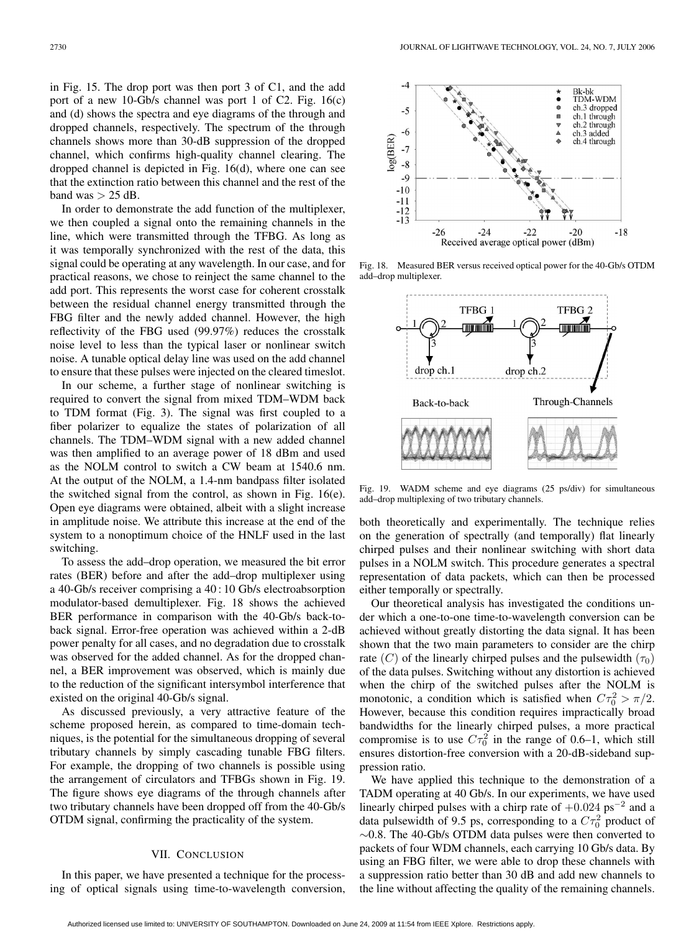in Fig. 15. The drop port was then port 3 of C1, and the add port of a new 10-Gb/s channel was port 1 of C2. Fig. 16(c) and (d) shows the spectra and eye diagrams of the through and dropped channels, respectively. The spectrum of the through channels shows more than 30-dB suppression of the dropped channel, which confirms high-quality channel clearing. The dropped channel is depicted in Fig. 16(d), where one can see that the extinction ratio between this channel and the rest of the band was  $> 25$  dB.

In order to demonstrate the add function of the multiplexer, we then coupled a signal onto the remaining channels in the line, which were transmitted through the TFBG. As long as it was temporally synchronized with the rest of the data, this signal could be operating at any wavelength. In our case, and for practical reasons, we chose to reinject the same channel to the add port. This represents the worst case for coherent crosstalk between the residual channel energy transmitted through the FBG filter and the newly added channel. However, the high reflectivity of the FBG used (99.97%) reduces the crosstalk noise level to less than the typical laser or nonlinear switch noise. A tunable optical delay line was used on the add channel to ensure that these pulses were injected on the cleared timeslot.

In our scheme, a further stage of nonlinear switching is required to convert the signal from mixed TDM–WDM back to TDM format (Fig. 3). The signal was first coupled to a fiber polarizer to equalize the states of polarization of all channels. The TDM–WDM signal with a new added channel was then amplified to an average power of 18 dBm and used as the NOLM control to switch a CW beam at 1540.6 nm. At the output of the NOLM, a 1.4-nm bandpass filter isolated the switched signal from the control, as shown in Fig. 16(e). Open eye diagrams were obtained, albeit with a slight increase in amplitude noise. We attribute this increase at the end of the system to a nonoptimum choice of the HNLF used in the last switching.

To assess the add–drop operation, we measured the bit error rates (BER) before and after the add–drop multiplexer using a 40-Gb/s receiver comprising a 40 : 10 Gb/s electroabsorption modulator-based demultiplexer. Fig. 18 shows the achieved BER performance in comparison with the 40-Gb/s back-toback signal. Error-free operation was achieved within a 2-dB power penalty for all cases, and no degradation due to crosstalk was observed for the added channel. As for the dropped channel, a BER improvement was observed, which is mainly due to the reduction of the significant intersymbol interference that existed on the original 40-Gb/s signal.

As discussed previously, a very attractive feature of the scheme proposed herein, as compared to time-domain techniques, is the potential for the simultaneous dropping of several tributary channels by simply cascading tunable FBG filters. For example, the dropping of two channels is possible using the arrangement of circulators and TFBGs shown in Fig. 19. The figure shows eye diagrams of the through channels after two tributary channels have been dropped off from the 40-Gb/s OTDM signal, confirming the practicality of the system.

## VII. CONCLUSION

In this paper, we have presented a technique for the processing of optical signals using time-to-wavelength conversion,



Fig. 18. Measured BER versus received optical power for the 40-Gb/s OTDM add–drop multiplexer.



Fig. 19. WADM scheme and eye diagrams (25 ps/div) for simultaneous add–drop multiplexing of two tributary channels.

both theoretically and experimentally. The technique relies on the generation of spectrally (and temporally) flat linearly chirped pulses and their nonlinear switching with short data pulses in a NOLM switch. This procedure generates a spectral representation of data packets, which can then be processed either temporally or spectrally.

Our theoretical analysis has investigated the conditions under which a one-to-one time-to-wavelength conversion can be achieved without greatly distorting the data signal. It has been shown that the two main parameters to consider are the chirp rate (C) of the linearly chirped pulses and the pulsewidth  $(\tau_0)$ of the data pulses. Switching without any distortion is achieved when the chirp of the switched pulses after the NOLM is monotonic, a condition which is satisfied when  $C\tau_0^2 > \pi/2$ . However, because this condition requires impractically broad bandwidths for the linearly chirped pulses, a more practical compromise is to use  $C\tau_0^2$  in the range of 0.6–1, which still ensures distortion-free conversion with a 20-dB-sideband suppression ratio.

We have applied this technique to the demonstration of a TADM operating at 40 Gb/s. In our experiments, we have used linearly chirped pulses with a chirp rate of +0.024 ps−<sup>2</sup> and a data pulsewidth of 9.5 ps, corresponding to a  $C\tau_0^2$  product of ∼0.8. The 40-Gb/s OTDM data pulses were then converted to packets of four WDM channels, each carrying 10 Gb/s data. By using an FBG filter, we were able to drop these channels with a suppression ratio better than 30 dB and add new channels to the line without affecting the quality of the remaining channels.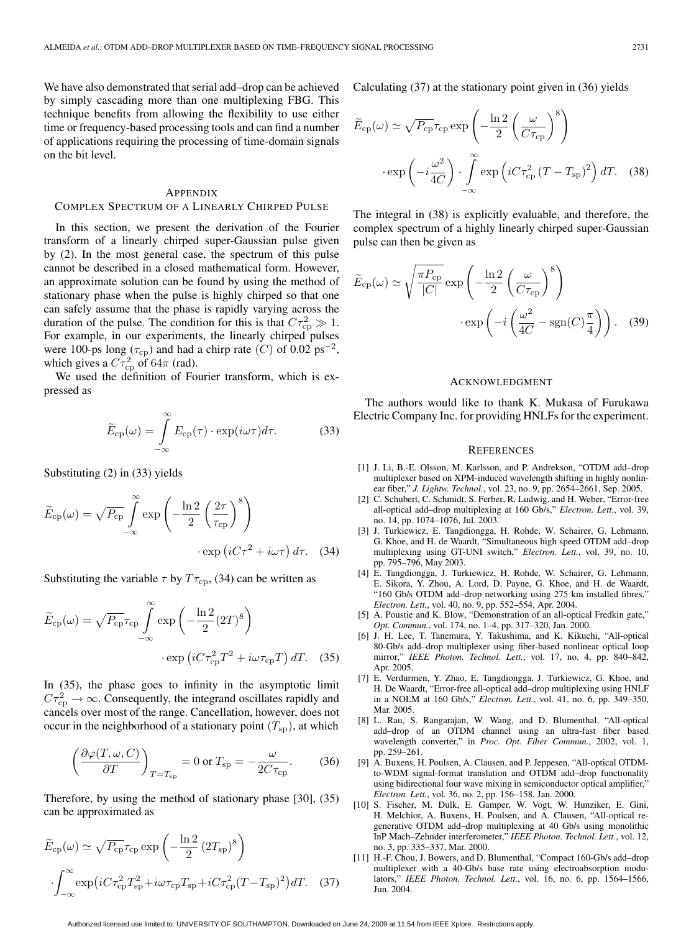We have also demonstrated that serial add–drop can be achieved by simply cascading more than one multiplexing FBG. This technique benefits from allowing the flexibility to use either time or frequency-based processing tools and can find a number of applications requiring the processing of time-domain signals on the bit level.

#### APPENDIX

### COMPLEX SPECTRUM OF A LINEARLY CHIRPED PULSE

In this section, we present the derivation of the Fourier transform of a linearly chirped super-Gaussian pulse given by (2). In the most general case, the spectrum of this pulse cannot be described in a closed mathematical form. However, an approximate solution can be found by using the method of stationary phase when the pulse is highly chirped so that one can safely assume that the phase is rapidly varying across the duration of the pulse. The condition for this is that  $C\tau_{cp}^2 \gg 1$ . For example, in our experiments, the linearly chirped pulses were 100-ps long ( $\tau_{cp}$ ) and had a chirp rate (C) of 0.02 ps<sup>-2</sup>, which gives a  $C\tau_{\rm cp}^2$  of 64 $\pi$  (rad).

We used the definition of Fourier transform, which is expressed as

$$
\widetilde{E}_{\rm cp}(\omega) = \int_{-\infty}^{\infty} E_{\rm cp}(\tau) \cdot \exp(i\omega\tau) d\tau.
$$
 (33)

Substituting (2) in (33) yields

$$
\widetilde{E}_{cp}(\omega) = \sqrt{P_{cp}} \int_{-\infty}^{\infty} \exp\left(-\frac{\ln 2}{2} \left(\frac{2\tau}{\tau_{cp}}\right)^8\right)
$$

$$
\cdot \exp\left(iC\tau^2 + i\omega\tau\right) d\tau. \quad (34)
$$

Substituting the variable  $\tau$  by  $T\tau_{cp}$ , (34) can be written as

$$
\widetilde{E}_{cp}(\omega) = \sqrt{P_{cp}} \tau_{cp} \int_{-\infty}^{\infty} \exp\left(-\frac{\ln 2}{2} (2T)^8\right)
$$

$$
\cdot \exp\left(i C \tau_{cp}^2 T^2 + i \omega \tau_{cp} T\right) dT. \quad (35)
$$

In (35), the phase goes to infinity in the asymptotic limit  $C\tau_{\rm cp}^2 \rightarrow \infty$ . Consequently, the integrand oscillates rapidly and cancels over most of the range. Cancellation, however, does not occur in the neighborhood of a stationary point  $(T_{sp})$ , at which

$$
\left(\frac{\partial \varphi(T,\omega,C)}{\partial T}\right)_{T=T_{\rm sp}} = 0 \text{ or } T_{\rm sp} = -\frac{\omega}{2C\tau_{\rm cp}}.\tag{36}
$$

Therefore, by using the method of stationary phase [30], (35) can be approximated as

$$
\widetilde{E}_{cp}(\omega) \simeq \sqrt{P_{cp}} \tau_{cp} \exp\left(-\frac{\ln 2}{2} (2T_{sp})^8\right)
$$

$$
\cdot \int_{-\infty}^{\infty} \exp\left(iC\tau_{cp}^2 T_{sp}^2 + i\omega\tau_{cp}T_{sp} + iC\tau_{cp}^2 (T - T_{sp})^2\right) dT. \quad (37)
$$

Calculating (37) at the stationary point given in (36) yields

$$
\widetilde{E}_{cp}(\omega) \simeq \sqrt{P_{cp}} \tau_{cp} \exp\left(-\frac{\ln 2}{2} \left(\frac{\omega}{C \tau_{cp}}\right)^8\right)
$$

$$
\cdot \exp\left(-i\frac{\omega^2}{4C}\right) \cdot \int_{-\infty}^{\infty} \exp\left(iC\tau_{cp}^2 (T - T_{sp})^2\right) dT. \quad (38)
$$

The integral in (38) is explicitly evaluable, and therefore, the complex spectrum of a highly linearly chirped super-Gaussian pulse can then be given as

$$
\widetilde{E}_{\rm cp}(\omega) \simeq \sqrt{\frac{\pi P_{\rm cp}}{|C|}} \exp\left(-\frac{\ln 2}{2} \left(\frac{\omega}{C\tau_{\rm cp}}\right)^8\right) \cdot \exp\left(-i \left(\frac{\omega^2}{4C} - \text{sgn}(C)\frac{\pi}{4}\right)\right). \quad (39)
$$

#### ACKNOWLEDGMENT

The authors would like to thank K. Mukasa of Furukawa Electric Company Inc. for providing HNLFs for the experiment.

#### **REFERENCES**

- [1] J. Li, B.-E. Olsson, M. Karlsson, and P. Andrekson, "OTDM add–drop multiplexer based on XPM-induced wavelength shifting in highly nonlinear fiber," *J. Lightw. Technol.*, vol. 23, no. 9, pp. 2654–2661, Sep. 2005.
- [2] C. Schubert, C. Schmidt, S. Ferber, R. Ludwig, and H. Weber, "Error-free all-optical add–drop multiplexing at 160 Gb/s," *Electron. Lett.*, vol. 39, no. 14, pp. 1074–1076, Jul. 2003.
- [3] J. Turkiewicz, E. Tangdiongga, H. Rohde, W. Schairer, G. Lehmann, G. Khoe, and H. de Waardt, "Simultaneous high speed OTDM add–drop multiplexing using GT-UNI switch," *Electron. Lett.*, vol. 39, no. 10, pp. 795–796, May 2003.
- [4] E. Tangdiongga, J. Turkiewicz, H. Rohde, W. Schairer, G. Lehmann, E. Sikora, Y. Zhou, A. Lord, D. Payne, G. Khoe, and H. de Waardt, "160 Gb/s OTDM add-drop networking using 275 km installed fibres," *Electron. Lett.*, vol. 40, no. 9, pp. 552–554, Apr. 2004.
- [5] A. Poustie and K. Blow, "Demonstration of an all-optical Fredkin gate," *Opt. Commun.*, vol. 174, no. 1–4, pp. 317–320, Jan. 2000.
- [6] J. H. Lee, T. Tanemura, Y. Takushima, and K. Kikuchi, "All-optical 80-Gb/s add–drop multiplexer using fiber-based nonlinear optical loop mirror," *IEEE Photon. Technol. Lett.*, vol. 17, no. 4, pp. 840–842, Apr. 2005.
- [7] E. Verdurmen, Y. Zhao, E. Tangdiongga, J. Turkiewicz, G. Khoe, and H. De Waardt, "Error-free all-optical add–drop multiplexing using HNLF in a NOLM at 160 Gb/s," *Electron. Lett.*, vol. 41, no. 6, pp. 349–350, Mar. 2005.
- [8] L. Rau, S. Rangarajan, W. Wang, and D. Blumenthal, "All-optical add–drop of an OTDM channel using an ultra-fast fiber based wavelength converter," in *Proc. Opt. Fiber Commun.*, 2002, vol. 1, pp. 259–261.
- [9] A. Buxens, H. Poulsen, A. Clausen, and P. Jeppesen, "All-optical OTDMto-WDM signal-format translation and OTDM add–drop functionality using bidirectional four wave mixing in semiconductor optical amplifier," *Electron. Lett.*, vol. 36, no. 2, pp. 156–158, Jan. 2000.
- [10] S. Fischer, M. Dulk, E. Gamper, W. Vogt, W. Hunziker, E. Gini, H. Melchior, A. Buxens, H. Poulsen, and A. Clausen, "All-optical regenerative OTDM add–drop multiplexing at 40 Gb/s using monolithic InP Mach–Zehnder interferometer," *IEEE Photon. Technol. Lett.*, vol. 12, no. 3, pp. 335–337, Mar. 2000.
- [11] H.-F. Chou, J. Bowers, and D. Blumenthal, "Compact 160-Gb/s add-drop" multiplexer with a 40-Gb/s base rate using electroabsorption modulators," *IEEE Photon. Technol. Lett.*, vol. 16, no. 6, pp. 1564–1566, Jun. 2004.